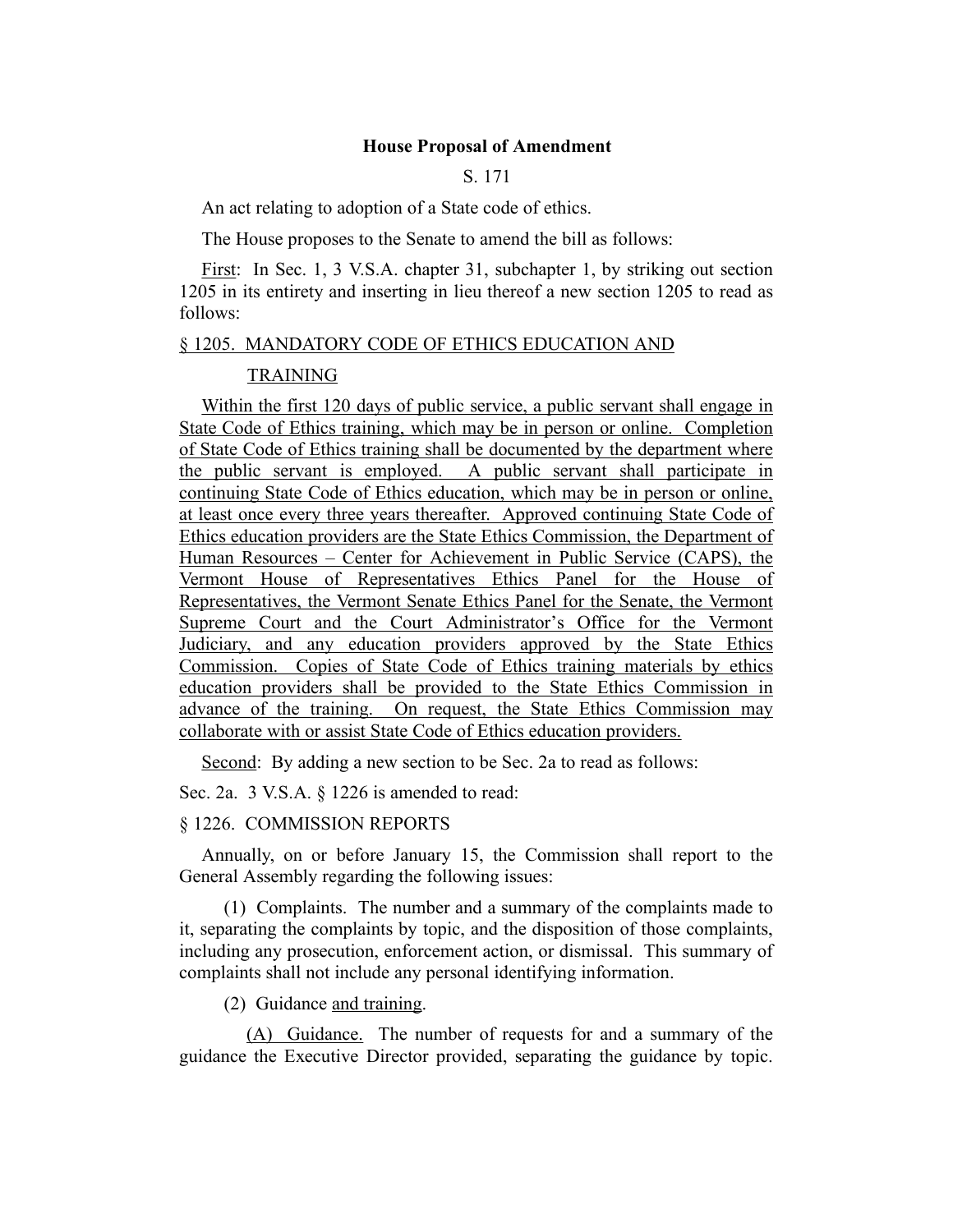## **House Proposal of Amendment**

S. 171

An act relating to adoption of a State code of ethics.

The House proposes to the Senate to amend the bill as follows:

First: In Sec. 1, 3 V.S.A. chapter 31, subchapter 1, by striking out section 1205 in its entirety and inserting in lieu thereof a new section 1205 to read as follows:

## § 1205. MANDATORY CODE OF ETHICS EDUCATION AND

## TRAINING

Within the first 120 days of public service, a public servant shall engage in State Code of Ethics training, which may be in person or online. Completion of State Code of Ethics training shall be documented by the department where the public servant is employed. A public servant shall participate in continuing State Code of Ethics education, which may be in person or online, at least once every three years thereafter. Approved continuing State Code of Ethics education providers are the State Ethics Commission, the Department of Human Resources – Center for Achievement in Public Service (CAPS), the Vermont House of Representatives Ethics Panel for the House of Representatives, the Vermont Senate Ethics Panel for the Senate, the Vermont Supreme Court and the Court Administrator's Office for the Vermont Judiciary, and any education providers approved by the State Ethics Commission. Copies of State Code of Ethics training materials by ethics education providers shall be provided to the State Ethics Commission in advance of the training. On request, the State Ethics Commission may collaborate with or assist State Code of Ethics education providers.

Second: By adding a new section to be Sec. 2a to read as follows:

Sec. 2a. 3 V.S.A. § 1226 is amended to read:

## § 1226. COMMISSION REPORTS

Annually, on or before January 15, the Commission shall report to the General Assembly regarding the following issues:

(1) Complaints. The number and a summary of the complaints made to it, separating the complaints by topic, and the disposition of those complaints, including any prosecution, enforcement action, or dismissal. This summary of complaints shall not include any personal identifying information.

(2) Guidance and training.

(A) Guidance. The number of requests for and a summary of the guidance the Executive Director provided, separating the guidance by topic.